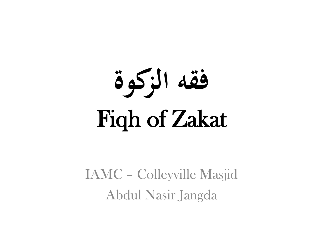

IAMC – Colleyville Masjid Abdul Nasir Jangda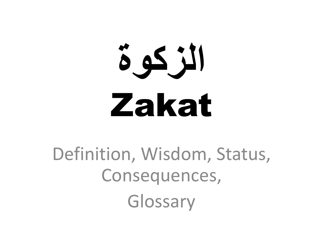# **الزكوة** Zakat

### Definition, Wisdom, Status, Consequences, Glossary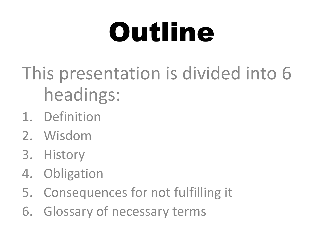## Outline

- This presentation is divided into 6 headings:
- 1. Definition
- 2. Wisdom
- 3. History
- 4. Obligation
- 5. Consequences for not fulfilling it
- 6. Glossary of necessary terms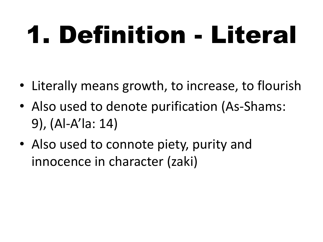## 1. Definition - Literal

- Literally means growth, to increase, to flourish
- Also used to denote purification (As-Shams: 9), (Al-A'la: 14)
- Also used to connote piety, purity and innocence in character (zaki)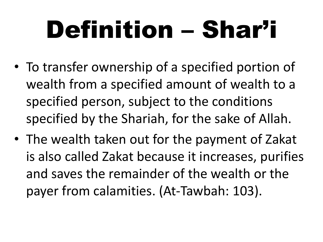## Definition – Shar'i

- To transfer ownership of a specified portion of wealth from a specified amount of wealth to a specified person, subject to the conditions specified by the Shariah, for the sake of Allah.
- The wealth taken out for the payment of Zakat is also called Zakat because it increases, purifies and saves the remainder of the wealth or the payer from calamities. (At-Tawbah: 103).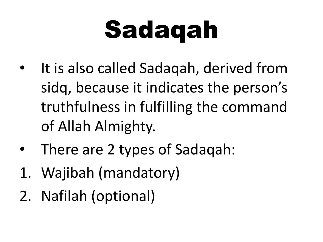## Sadaqah

- It is also called Sadaqah, derived from sidq, because it indicates the person's truthfulness in fulfilling the command of Allah Almighty.
- There are 2 types of Sadaqah:
- 1. Wajibah (mandatory)
- 2. Nafilah (optional)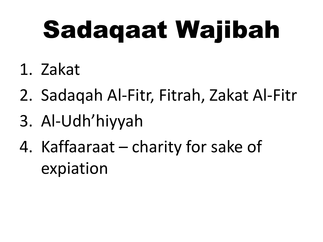## Sadaqaat Wajibah

- 1. Zakat
- 2. Sadaqah Al-Fitr, Fitrah, Zakat Al-Fitr
- 3. Al-Udh'hiyyah
- 4. Kaffaaraat charity for sake of expiation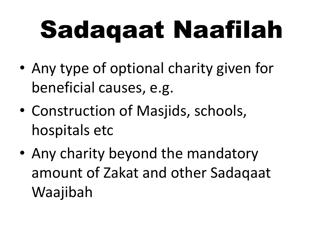## Sadaqaat Naafilah

- Any type of optional charity given for beneficial causes, e.g.
- Construction of Masjids, schools, hospitals etc
- Any charity beyond the mandatory amount of Zakat and other Sadaqaat Waajibah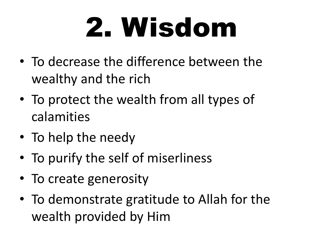## 2. Wisdom

- To decrease the difference between the wealthy and the rich
- To protect the wealth from all types of calamities
- To help the needy
- To purify the self of miserliness
- To create generosity
- To demonstrate gratitude to Allah for the wealth provided by Him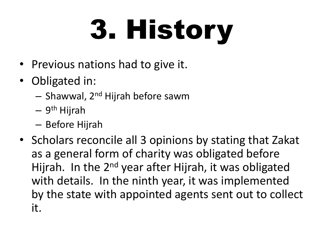# 3. History

- Previous nations had to give it.
- Obligated in:
	- Shawwal, 2nd Hijrah before sawm
	- 9<sup>th</sup> Hijrah
	- Before Hijrah
- Scholars reconcile all 3 opinions by stating that Zakat as a general form of charity was obligated before Hijrah. In the 2<sup>nd</sup> year after Hijrah, it was obligated with details. In the ninth year, it was implemented by the state with appointed agents sent out to collect it.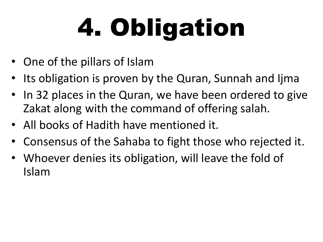# 4. Obligation

- One of the pillars of Islam
- Its obligation is proven by the Quran, Sunnah and Ijma
- In 32 places in the Quran, we have been ordered to give Zakat along with the command of offering salah.
- All books of Hadith have mentioned it.
- Consensus of the Sahaba to fight those who rejected it.
- Whoever denies its obligation, will leave the fold of Islam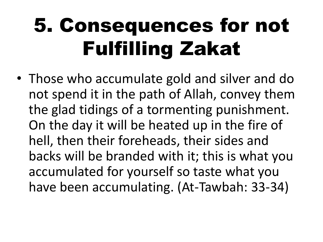• Those who accumulate gold and silver and do not spend it in the path of Allah, convey them the glad tidings of a tormenting punishment. On the day it will be heated up in the fire of hell, then their foreheads, their sides and backs will be branded with it; this is what you accumulated for yourself so taste what you have been accumulating. (At-Tawbah: 33-34)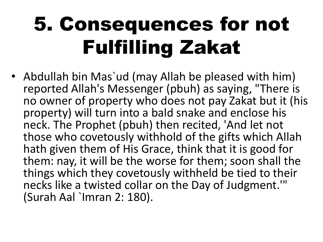• Abdullah bin Mas`ud (may Allah be pleased with him) reported Allah's Messenger (pbuh) as saying, "There is no owner of property who does not pay Zakat but it (his property) will turn into a bald snake and enclose his neck. The Prophet (pbuh) then recited, 'And let not those who covetously withhold of the gifts which Allah hath given them of His Grace, think that it is good for them: nay, it will be the worse for them; soon shall the things which they covetously withheld be tied to their necks like a twisted collar on the Day of Judgment.'" (Surah Aal `Imran 2: 180).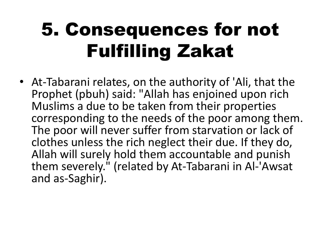• At-Tabarani relates, on the authority of 'Ali, that the Prophet (pbuh) said: "Allah has enjoined upon rich Muslims a due to be taken from their properties corresponding to the needs of the poor among them. The poor will never suffer from starvation or lack of clothes unless the rich neglect their due. If they do, Allah will surely hold them accountable and punish them severely." (related by At-Tabarani in Al-'Awsat and as-Saghir).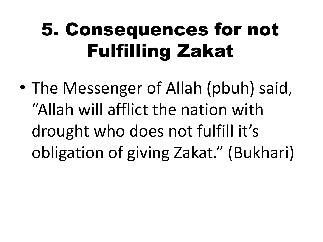• The Messenger of Allah (pbuh) said, "Allah will afflict the nation with drought who does not fulfill it's obligation of giving Zakat." (Bukhari)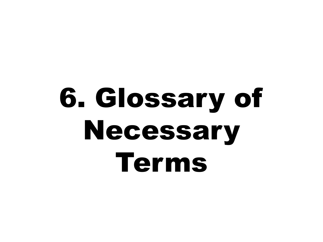## 6. Glossary of Necessary Terms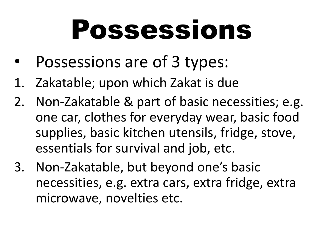## Possessions

- Possessions are of 3 types:
- 1. Zakatable; upon which Zakat is due
- 2. Non-Zakatable & part of basic necessities; e.g. one car, clothes for everyday wear, basic food supplies, basic kitchen utensils, fridge, stove, essentials for survival and job, etc.
- 3. Non-Zakatable, but beyond one's basic necessities, e.g. extra cars, extra fridge, extra microwave, novelties etc.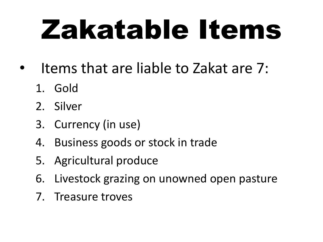## Zakatable Items

- Items that are liable to Zakat are 7:
	- 1. Gold
	- 2. Silver
	- 3. Currency (in use)
	- 4. Business goods or stock in trade
	- 5. Agricultural produce
	- 6. Livestock grazing on unowned open pasture
	- 7. Treasure troves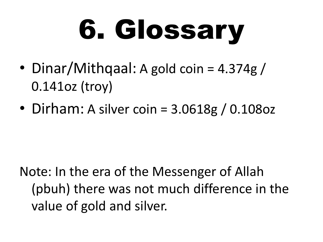# 6. Glossary

- Dinar/Mithqaal: A gold coin = 4.374g / 0.141oz (troy)
- Dirham: A silver coin =  $3.0618g / 0.108oz$

Note: In the era of the Messenger of Allah (pbuh) there was not much difference in the value of gold and silver.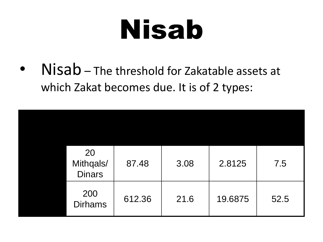## Nisab

Nisab – The threshold for Zakatable assets at which Zakat becomes due. It is of 2 types:

| 20<br>Mithqals/<br><b>Dinars</b> | 87.48  | 3.08 | 2.8125  | 7.5  |
|----------------------------------|--------|------|---------|------|
| 200<br><b>Dirhams</b>            | 612.36 | 21.6 | 19.6875 | 52.5 |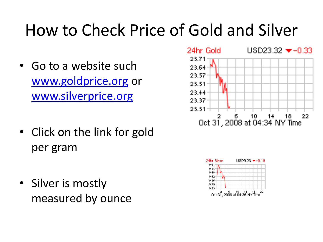#### How to Check Price of Gold and Silver

- Go to a website such [www.goldprice.org](http://www.goldprice.org/) or [www.silverprice.org](http://www.silverprice.org/)
- Click on the link for gold per gram
- Silver is mostly measured by ounce



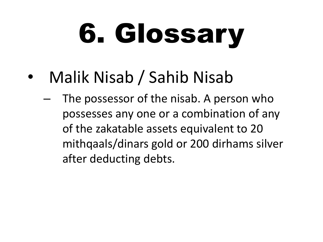# 6. Glossary

- Malik Nisab / Sahib Nisab
	- The possessor of the nisab. A person who possesses any one or a combination of any of the zakatable assets equivalent to 20 mithqaals/dinars gold or 200 dirhams silver after deducting debts.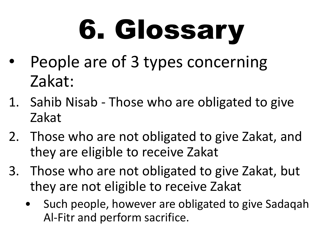# 6. Glossary

- People are of 3 types concerning Zakat:
- 1. Sahib Nisab Those who are obligated to give Zakat
- 2. Those who are not obligated to give Zakat, and they are eligible to receive Zakat
- 3. Those who are not obligated to give Zakat, but they are not eligible to receive Zakat
	- Such people, however are obligated to give Sadaqah Al-Fitr and perform sacrifice.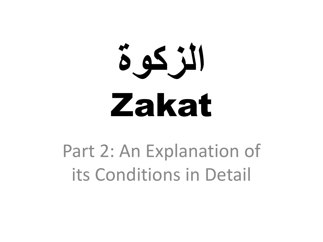# **الزكوة** Zakat

Part 2: An Explanation of its Conditions in Detail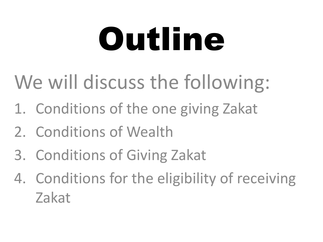# Outline

### We will discuss the following:

- 1. Conditions of the one giving Zakat
- 2. Conditions of Wealth
- 3. Conditions of Giving Zakat
- 4. Conditions for the eligibility of receiving Zakat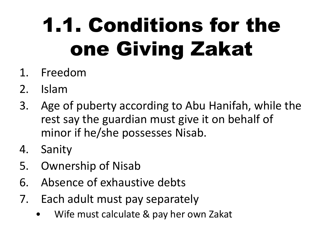### 1.1. Conditions for the one Giving Zakat

- 1. Freedom
- 2. Islam
- 3. Age of puberty according to Abu Hanifah, while the rest say the guardian must give it on behalf of minor if he/she possesses Nisab.
- 4. Sanity
- 5. Ownership of Nisab
- 6. Absence of exhaustive debts
- 7. Each adult must pay separately
	- Wife must calculate & pay her own Zakat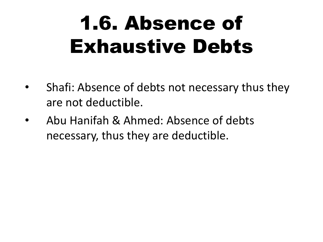### 1.6. Absence of Exhaustive Debts

- Shafi: Absence of debts not necessary thus they are not deductible.
- Abu Hanifah & Ahmed: Absence of debts necessary, thus they are deductible.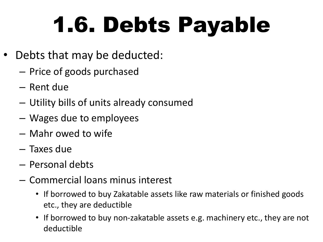## 1.6. Debts Payable

- Debts that may be deducted:
	- Price of goods purchased
	- Rent due
	- Utility bills of units already consumed
	- Wages due to employees
	- Mahr owed to wife
	- Taxes due
	- Personal debts
	- Commercial loans minus interest
		- If borrowed to buy Zakatable assets like raw materials or finished goods etc., they are deductible
		- If borrowed to buy non-zakatable assets e.g. machinery etc., they are not deductible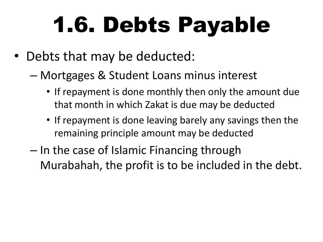### 1.6. Debts Payable

- Debts that may be deducted:
	- Mortgages & Student Loans minus interest
		- If repayment is done monthly then only the amount due that month in which Zakat is due may be deducted
		- If repayment is done leaving barely any savings then the remaining principle amount may be deducted
	- In the case of Islamic Financing through Murabahah, the profit is to be included in the debt.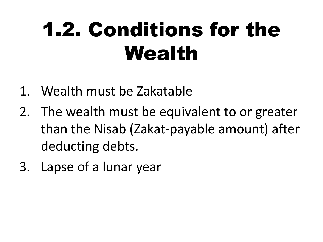### 1.2. Conditions for the Wealth

- 1. Wealth must be Zakatable
- 2. The wealth must be equivalent to or greater than the Nisab (Zakat-payable amount) after deducting debts.
- 3. Lapse of a lunar year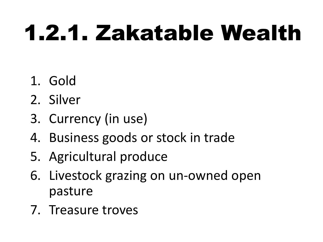### 1.2.1. Zakatable Wealth

- 1. Gold
- 2. Silver
- 3. Currency (in use)
- 4. Business goods or stock in trade
- 5. Agricultural produce
- 6. Livestock grazing on un-owned open pasture
- 7. Treasure troves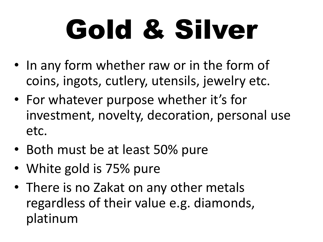# Gold & Silver

- In any form whether raw or in the form of coins, ingots, cutlery, utensils, jewelry etc.
- For whatever purpose whether it's for investment, novelty, decoration, personal use etc.
- Both must be at least 50% pure
- White gold is 75% pure
- There is no Zakat on any other metals regardless of their value e.g. diamonds, platinum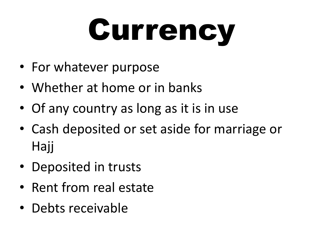# **Currency**

- For whatever purpose
- Whether at home or in banks
- Of any country as long as it is in use
- Cash deposited or set aside for marriage or Hajj
- Deposited in trusts
- Rent from real estate
- Debts receivable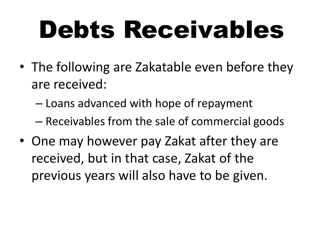## Debts Receivables

- The following are Zakatable even before they are received:
	- Loans advanced with hope of repayment
	- Receivables from the sale of commercial goods
- One may however pay Zakat after they are received, but in that case, Zakat of the previous years will also have to be given.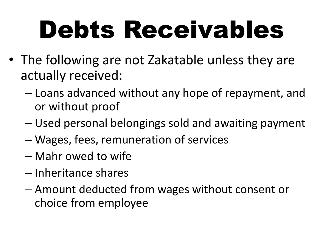## Debts Receivables

- The following are not Zakatable unless they are actually received:
	- Loans advanced without any hope of repayment, and or without proof
	- Used personal belongings sold and awaiting payment
	- Wages, fees, remuneration of services
	- Mahr owed to wife
	- Inheritance shares
	- Amount deducted from wages without consent or choice from employee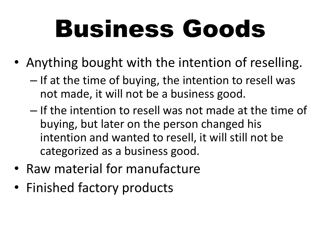## Business Goods

- Anything bought with the intention of reselling.
	- If at the time of buying, the intention to resell was not made, it will not be a business good.
	- If the intention to resell was not made at the time of buying, but later on the person changed his intention and wanted to resell, it will still not be categorized as a business good.
- Raw material for manufacture
- Finished factory products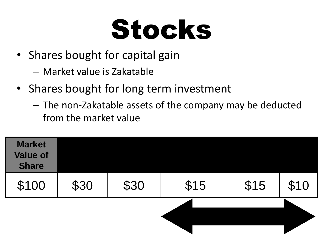### Stocks

- Shares bought for capital gain
	- Market value is Zakatable
- Shares bought for long term investment
	- The non-Zakatable assets of the company may be deducted from the market value

| <b>Market</b><br><b>Value of</b><br><b>Share</b> |      |      |      |      |      |
|--------------------------------------------------|------|------|------|------|------|
| \$100                                            | \$30 | \$30 | \$15 | \$15 | \$10 |
|                                                  |      |      |      |      |      |
|                                                  |      |      |      |      |      |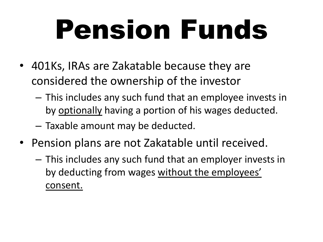### Pension Funds

- 401Ks, IRAs are Zakatable because they are considered the ownership of the investor
	- This includes any such fund that an employee invests in by optionally having a portion of his wages deducted.
	- Taxable amount may be deducted.
- Pension plans are not Zakatable until received.
	- This includes any such fund that an employer invests in by deducting from wages without the employees' consent.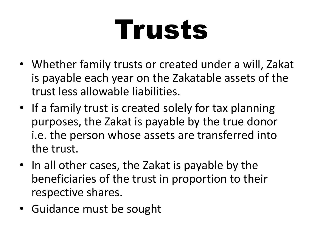### Trusts

- Whether family trusts or created under a will, Zakat is payable each year on the Zakatable assets of the trust less allowable liabilities.
- If a family trust is created solely for tax planning purposes, the Zakat is payable by the true donor i.e. the person whose assets are transferred into the trust.
- In all other cases, the Zakat is payable by the beneficiaries of the trust in proportion to their respective shares.
- Guidance must be sought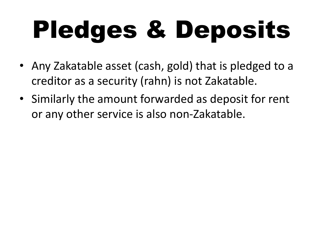## Pledges & Deposits

- Any Zakatable asset (cash, gold) that is pledged to a creditor as a security (rahn) is not Zakatable.
- Similarly the amount forwarded as deposit for rent or any other service is also non-Zakatable.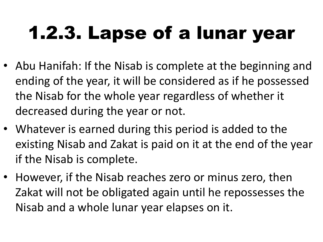#### 1.2.3. Lapse of a lunar year

- Abu Hanifah: If the Nisab is complete at the beginning and ending of the year, it will be considered as if he possessed the Nisab for the whole year regardless of whether it decreased during the year or not.
- Whatever is earned during this period is added to the existing Nisab and Zakat is paid on it at the end of the year if the Nisab is complete.
- However, if the Nisab reaches zero or minus zero, then Zakat will not be obligated again until he repossesses the Nisab and a whole lunar year elapses on it.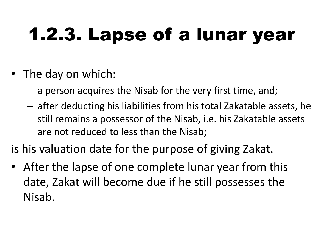#### 1.2.3. Lapse of a lunar year

- The day on which:
	- a person acquires the Nisab for the very first time, and;
	- after deducting his liabilities from his total Zakatable assets, he still remains a possessor of the Nisab, i.e. his Zakatable assets are not reduced to less than the Nisab;

is his valuation date for the purpose of giving Zakat.

• After the lapse of one complete lunar year from this date, Zakat will become due if he still possesses the Nisab.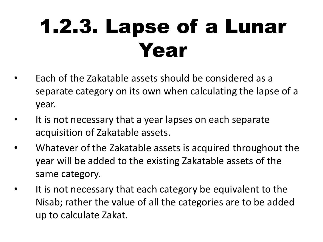### 1.2.3. Lapse of a Lunar Year

- Each of the Zakatable assets should be considered as a separate category on its own when calculating the lapse of a year.
- It is not necessary that a year lapses on each separate acquisition of Zakatable assets.
- Whatever of the Zakatable assets is acquired throughout the year will be added to the existing Zakatable assets of the same category.
- It is not necessary that each category be equivalent to the Nisab; rather the value of all the categories are to be added up to calculate Zakat.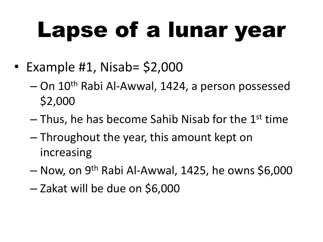- Example #1, Nisab= \$2,000
	- On 10th Rabi Al-Awwal, 1424, a person possessed \$2,000
	- $-$  Thus, he has become Sahib Nisab for the 1<sup>st</sup> time
	- Throughout the year, this amount kept on increasing
	- Now, on 9th Rabi Al-Awwal, 1425, he owns \$6,000
	- Zakat will be due on \$6,000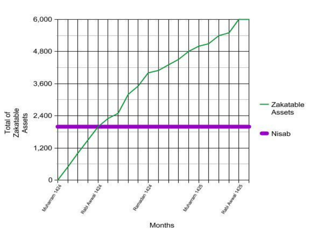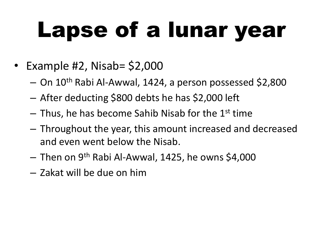- Example #2, Nisab= \$2,000
	- On 10th Rabi Al-Awwal, 1424, a person possessed \$2,800
	- After deducting \$800 debts he has \$2,000 left
	- $-$  Thus, he has become Sahib Nisab for the 1st time
	- Throughout the year, this amount increased and decreased and even went below the Nisab.
	- Then on 9th Rabi Al-Awwal, 1425, he owns \$4,000
	- Zakat will be due on him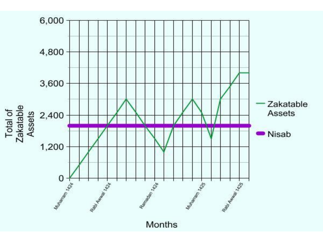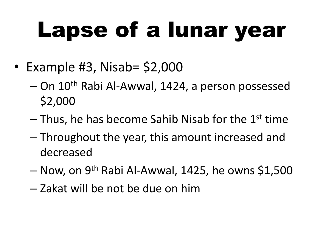- Example #3, Nisab= \$2,000
	- On 10th Rabi Al-Awwal, 1424, a person possessed \$2,000
	- $-$  Thus, he has become Sahib Nisab for the 1<sup>st</sup> time
	- Throughout the year, this amount increased and decreased
	- Now, on 9<sup>th</sup> Rabi Al-Awwal, 1425, he owns \$1,500
	- Zakat will be not be due on him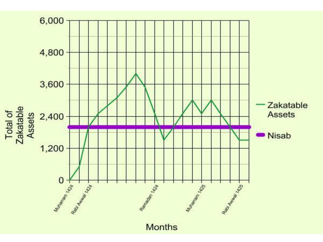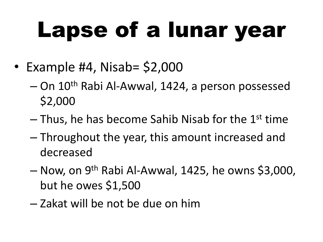- Example #4, Nisab= \$2,000
	- On 10th Rabi Al-Awwal, 1424, a person possessed \$2,000
	- $-$  Thus, he has become Sahib Nisab for the 1<sup>st</sup> time
	- Throughout the year, this amount increased and decreased
	- Now, on 9<sup>th</sup> Rabi Al-Awwal, 1425, he owns \$3,000, but he owes \$1,500
	- Zakat will be not be due on him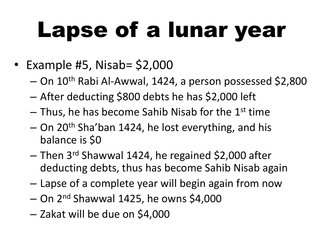- Example #5, Nisab= \$2,000
	- On 10th Rabi Al-Awwal, 1424, a person possessed \$2,800
	- After deducting \$800 debts he has \$2,000 left
	- $-$  Thus, he has become Sahib Nisab for the 1<sup>st</sup> time
	- $-$  On 20<sup>th</sup> Sha'ban 1424, he lost everything, and his balance is \$0
	- Then 3 rd Shawwal 1424, he regained \$2,000 after deducting debts, thus has become Sahib Nisab again
	- Lapse of a complete year will begin again from now
	- $-$  On 2<sup>nd</sup> Shawwal 1425, he owns \$4,000
	- Zakat will be due on \$4,000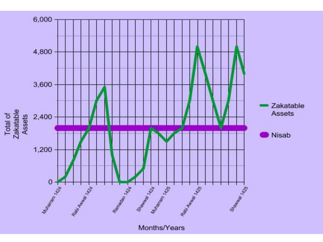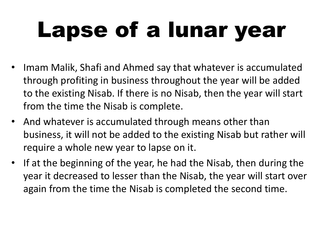- Imam Malik, Shafi and Ahmed say that whatever is accumulated through profiting in business throughout the year will be added to the existing Nisab. If there is no Nisab, then the year will start from the time the Nisab is complete.
- And whatever is accumulated through means other than business, it will not be added to the existing Nisab but rather will require a whole new year to lapse on it.
- If at the beginning of the year, he had the Nisab, then during the year it decreased to lesser than the Nisab, the year will start over again from the time the Nisab is completed the second time.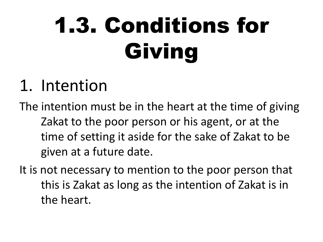### 1.3. Conditions for Giving

#### 1. Intention

The intention must be in the heart at the time of giving Zakat to the poor person or his agent, or at the time of setting it aside for the sake of Zakat to be given at a future date.

It is not necessary to mention to the poor person that this is Zakat as long as the intention of Zakat is in the heart.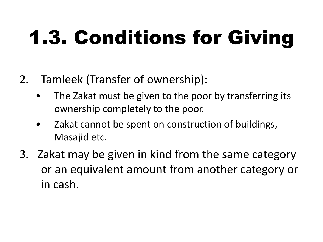### 1.3. Conditions for Giving

- 2. Tamleek (Transfer of ownership):
	- The Zakat must be given to the poor by transferring its ownership completely to the poor.
	- Zakat cannot be spent on construction of buildings, Masajid etc.
- 3. Zakat may be given in kind from the same category or an equivalent amount from another category or in cash.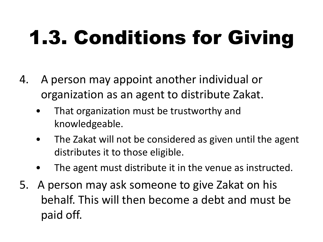### 1.3. Conditions for Giving

- 4. A person may appoint another individual or organization as an agent to distribute Zakat.
	- That organization must be trustworthy and knowledgeable.
	- The Zakat will not be considered as given until the agent distributes it to those eligible.
	- The agent must distribute it in the venue as instructed.
- 5. A person may ask someone to give Zakat on his behalf. This will then become a debt and must be paid off.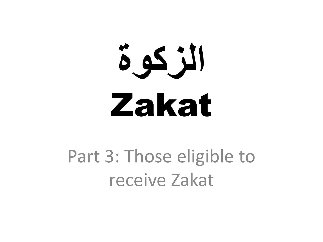# **الزكوة** Zakat

#### Part 3: Those eligible to receive Zakat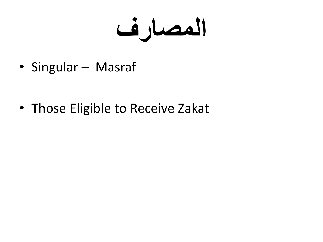**المصارف**

• Singular – Masraf

• Those Eligible to Receive Zakat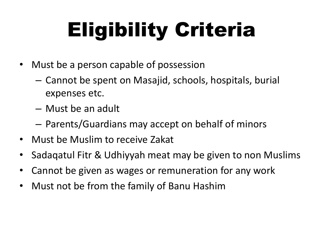### Eligibility Criteria

- Must be a person capable of possession
	- Cannot be spent on Masajid, schools, hospitals, burial expenses etc.
	- Must be an adult
	- Parents/Guardians may accept on behalf of minors
- Must be Muslim to receive Zakat
- Sadaqatul Fitr & Udhiyyah meat may be given to non Muslims
- Cannot be given as wages or remuneration for any work
- Must not be from the family of Banu Hashim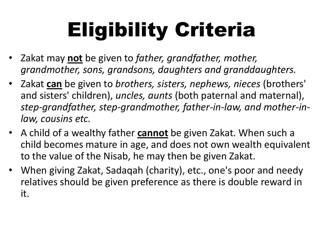### Eligibility Criteria

- Zakat may **not** be given to *father, grandfather, mother, grandmother, sons, grandsons, daughters and granddaughters.*
- Zakat **can** be given to *brothers, sisters, nephews, nieces* (brothers' and sisters' children), *uncles, aunts* (both paternal and maternal), *step-grandfather, step-grandmother, father-in-law, and mother-inlaw, cousins etc.*
- A child of a wealthy father **cannot** be given Zakat. When such a child becomes mature in age, and does not own wealth equivalent to the value of the Nisab, he may then be given Zakat.
- When giving Zakat, Sadaqah (charity), etc., one's poor and needy relatives should be given preference as there is double reward in it.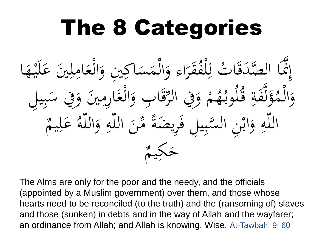#### The 8 Categories ثُ لِلْفُقَرَاءِ وَالْمَسَاكِينِ وَالْعَامِلِينَ عَلَيْهَا e<br>C **ابو**<br>با  $\frac{1}{2}$  $\boldsymbol{\mathcal{S}}$  $\ddot{\phantom{0}}$  $\overline{\mathfrak{l}}$  $\mathbf{A}$ **گر** <u>ل</u><br>ا َ  $\ddot{\cdot}$  $\leq$  $\overline{a}$  $\blacktriangle$ <u>ل</u><br>ا و<br>س ر<br>.<br>. **م<br>م**  $\int$  $\int$ .<br>ا تَّمَا الصَّدَقَا ة<br>0  $\overline{\phantom{a}}$  $\int$ إ قَابِ وَالْغَارِمِينَ وَفِي سَبِيلِ  $\overline{\phantom{a}}$ ي  $\ddot{\cdot}$ بر<br>بر<br>>  $\overline{\phantom{a}}$ ہ<br>، ،<br>.<br>.  $\mathbf{A}$ ।<br>् .<br>ال<br>. ل<br>ا ہ<br>ر **⊥ :**<br>-بِر<br>ز ِِف الر و م و<br>، **ا €** ه<br>ک<del>ه</del> <u>ب</u><br>. اً<br>لموب<sup>و</sup> ن<br>ف وَلَّفَةِ قُ **ئم**  $\dot{\mathcal{A}}$ ل محم<br>پر  $\lambda$ م ال و <u>ل</u><br>ا َ  $\bigcap$ يم ل ع  $\overline{\mathfrak{c}}$  $\boldsymbol{\mathcal{S}}$ ام<br>ا سَّبِيلِ فَرِيضَةً مِّنَ اللَّهِ وَاللَّهُ َ  $\overline{4}$  $\ddot{\phantom{0}}$ ِ ة<br>ق  $\overline{\phantom{a}}$ ي  $\ddot{\cdot}$ ن<br>بر<br> اللّهِ وَابْنِ ال  $\ddot{\cdot}$ <u>ب</u><br>. َ ِ  $\bigcap$ يم  $\leq$ َك ح

The Alms are only for the poor and the needy, and the officials (appointed by a Muslim government) over them, and those whose hearts need to be reconciled (to the truth) and the (ransoming of) slaves and those (sunken) in debts and in the way of Allah and the wayfarer; an ordinance from Allah; and Allah is knowing, Wise. At-Tawbah, 9: 60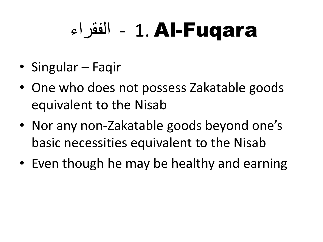#### الفقراء - 1. Al-Fuqara

- Singular Faqir
- One who does not possess Zakatable goods equivalent to the Nisab
- Nor any non-Zakatable goods beyond one's basic necessities equivalent to the Nisab
- Even though he may be healthy and earning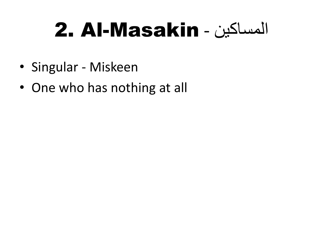#### 2. Al-Masakin - المساكين

- Singular Miskeen
- One who has nothing at all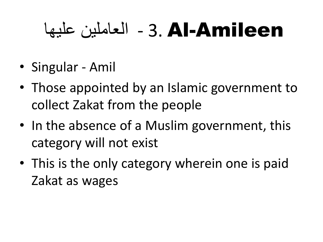#### Amileen-Al 3. - العاملين عليها

- Singular Amil
- Those appointed by an Islamic government to collect Zakat from the people
- In the absence of a Muslim government, this category will not exist
- This is the only category wherein one is paid Zakat as wages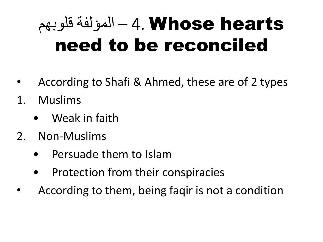#### hearts Whose 4. – المؤلفة قلوبهم need to be reconciled

- According to Shafi & Ahmed, these are of 2 types
- 1. Muslims
	- Weak in faith
- 2. Non-Muslims
	- Persuade them to Islam
	- Protection from their conspiracies
- According to them, being faqir is not a condition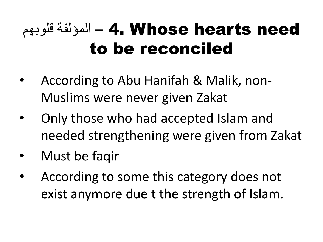#### قلوبهم – 4. Whose hearts need to be reconciled

- According to Abu Hanifah & Malik, non-Muslims were never given Zakat
- Only those who had accepted Islam and needed strengthening were given from Zakat
- Must be faqir
- According to some this category does not exist anymore due t the strength of Islam.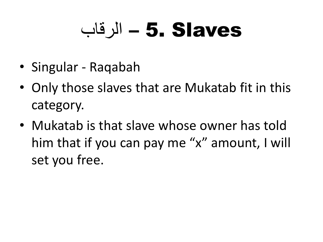#### الرقاب – 5. Slaves

- Singular Raqabah
- Only those slaves that are Mukatab fit in this category.
- Mukatab is that slave whose owner has told him that if you can pay me "x" amount, I will set you free.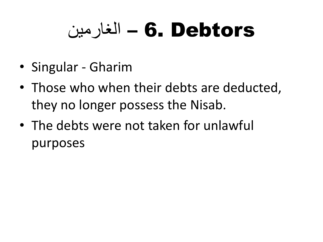#### لغار مين –  $\bf{6. \; Debtors}$

- Singular Gharim
- Those who when their debts are deducted, they no longer possess the Nisab.
- The debts were not taken for unlawful purposes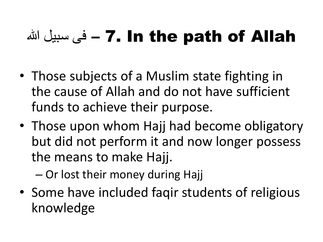#### هل سبيل الله – 7. In the path of Allah

- Those subjects of a Muslim state fighting in the cause of Allah and do not have sufficient funds to achieve their purpose.
- Those upon whom Hajj had become obligatory but did not perform it and now longer possess the means to make Hajj.

– Or lost their money during Hajj

• Some have included faqir students of religious knowledge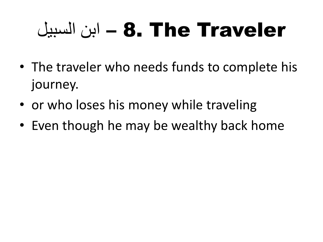#### Traveler The 8. – ابن السبيل

- The traveler who needs funds to complete his journey.
- or who loses his money while traveling
- Even though he may be wealthy back home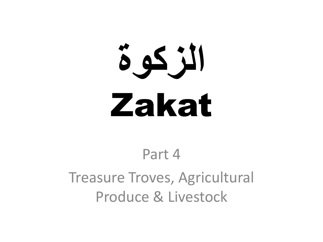# **الزكوة** Zakat

#### Part 4 Treasure Troves, Agricultural Produce & Livestock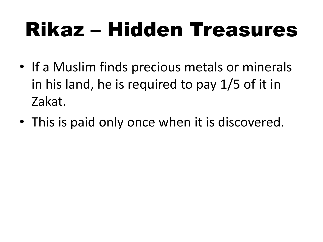#### Rikaz – Hidden Treasures

- If a Muslim finds precious metals or minerals in his land, he is required to pay 1/5 of it in Zakat.
- This is paid only once when it is discovered.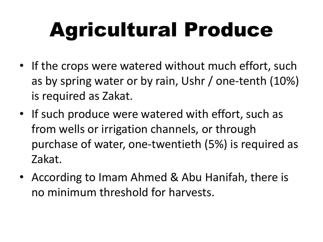### Agricultural Produce

- If the crops were watered without much effort, such as by spring water or by rain, Ushr / one-tenth (10%) is required as Zakat.
- If such produce were watered with effort, such as from wells or irrigation channels, or through purchase of water, one-twentieth (5%) is required as Zakat.
- According to Imam Ahmed & Abu Hanifah, there is no minimum threshold for harvests.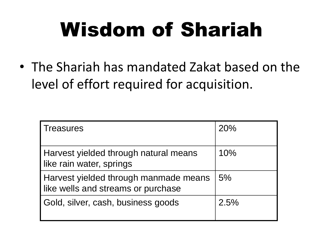### Wisdom of Shariah

• The Shariah has mandated Zakat based on the level of effort required for acquisition.

| <b>Treasures</b>                                                            | 20%  |
|-----------------------------------------------------------------------------|------|
| Harvest yielded through natural means<br>like rain water, springs           | 10%  |
| Harvest yielded through manmade means<br>like wells and streams or purchase | 5%   |
| Gold, silver, cash, business goods                                          | 2.5% |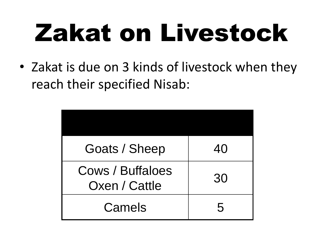# Zakat on Livestock

• Zakat is due on 3 kinds of livestock when they reach their specified Nisab:

| Goats / Sheep                     | 40 |
|-----------------------------------|----|
| Cows / Buffaloes<br>Oxen / Cattle | 30 |
| Camels                            | 5  |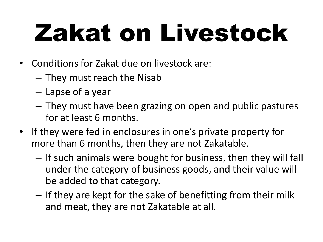# Zakat on Livestock

- Conditions for Zakat due on livestock are:
	- They must reach the Nisab
	- Lapse of a year
	- They must have been grazing on open and public pastures for at least 6 months.
- If they were fed in enclosures in one's private property for more than 6 months, then they are not Zakatable.
	- If such animals were bought for business, then they will fall under the category of business goods, and their value will be added to that category.
	- If they are kept for the sake of benefitting from their milk and meat, they are not Zakatable at all.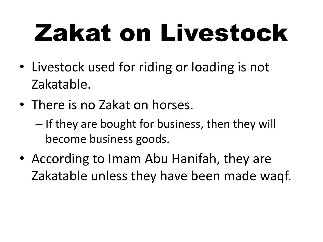# Zakat on Livestock

- Livestock used for riding or loading is not Zakatable.
- There is no Zakat on horses.
	- If they are bought for business, then they will become business goods.
- According to Imam Abu Hanifah, they are Zakatable unless they have been made waqf.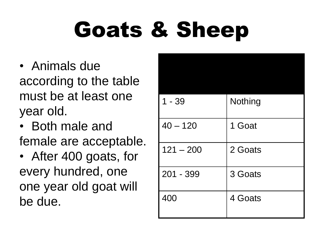## Goats & Sheep

- Animals due according to the table must be at least one year old.
- Both male and female are acceptable.
- After 400 goats, for every hundred, one one year old goat will be due.

| $1 - 39$    | Nothing |
|-------------|---------|
| $40 - 120$  | 1 Goat  |
| $121 - 200$ | 2 Goats |
| 201 - 399   | 3 Goats |
| 400         | 4 Goats |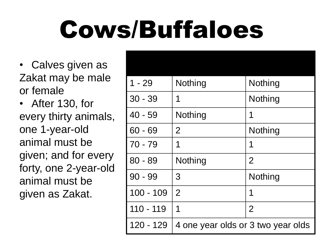## Cows/Buffaloes

• Calves given as Zakat may be male or female

• After 130, for every thirty animals, one 1-year-old animal must be given; and for every forty, one 2-year-old animal must be given as Zakat.

| $1 - 29$    | Nothing                            | Nothing        |
|-------------|------------------------------------|----------------|
| $30 - 39$   | 1                                  | Nothing        |
| $40 - 59$   | Nothing                            | 1              |
| 60 - 69     | $\overline{2}$                     | Nothing        |
| $70 - 79$   | 1                                  | 1              |
| $80 - 89$   | Nothing                            | $\overline{2}$ |
| $90 - 99$   | 3                                  | Nothing        |
| $100 - 109$ | $\overline{2}$                     | 1              |
| 110 - 119   | 1                                  | $\overline{2}$ |
| 120 - 129   | 4 one year olds or 3 two year olds |                |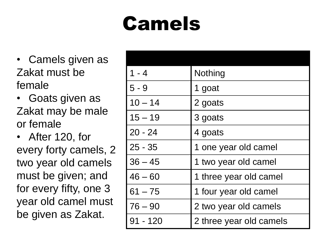#### Camels

- Camels given as Zakat must be female
- Goats given as Zakat may be male or female
- After 120, for every forty camels, 2 two year old camels must be given; and for every fifty, one 3 year old camel must be given as Zakat.

| $1 - 4$    | Nothing                 |
|------------|-------------------------|
| $5 - 9$    | 1 goat                  |
| $10 - 14$  | 2 goats                 |
| $15 - 19$  | 3 goats                 |
| $20 - 24$  | 4 goats                 |
| $25 - 35$  | 1 one year old camel    |
| $36 - 45$  | 1 two year old camel    |
| $46 - 60$  | 1 three year old camel  |
| $61 - 75$  | 1 four year old camel   |
| $76 - 90$  | 2 two year old camels   |
| $91 - 120$ | 2 three year old camels |